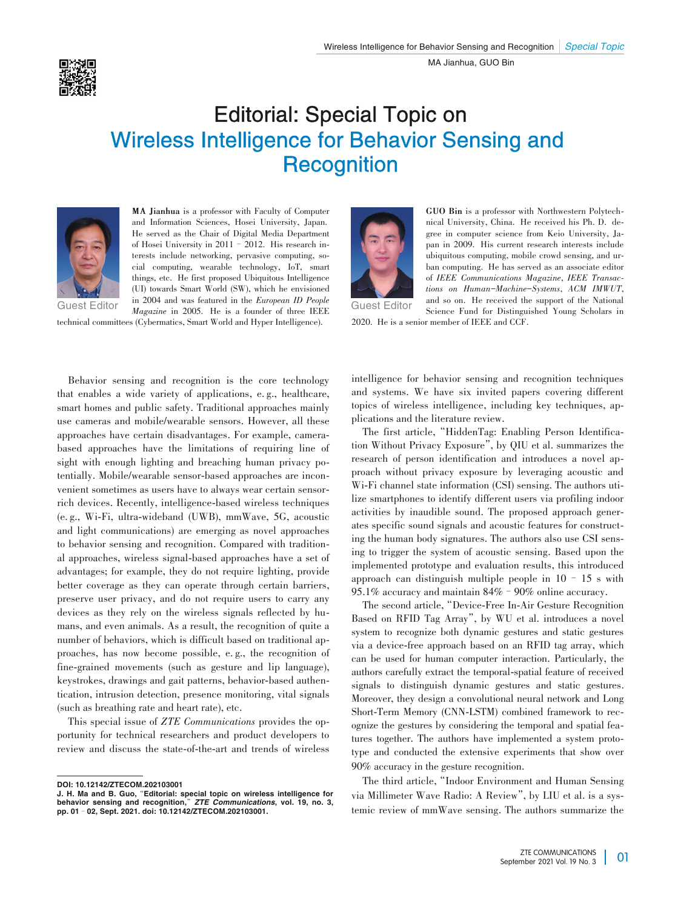

## Editorial: Special Topic on Wireless Intelligence for Behavior Sensing and **Recognition**



**MA Jianhua** is a professor with Faculty of Computer and Information Sciences, Hosei University, Japan. He served as the Chair of Digital Media Department of Hosei University in 2011 - 2012. His research interests include networking, pervasive computing, social computing, wearable technology, IoT, smart things, etc. He first proposed Ubiquitous Intelligence (UI) towards Smart World (SW), which he envisioned in 2004 and was featured in the *European ID People* Guest Editor *Magazine* in 2005. He is a founder of three IEEE Guest Editor

technical committees (Cybermatics, Smart World and Hyper Intelligence).

Behavior sensing and recognition is the core technology that enables a wide variety of applications, e. g., healthcare, smart homes and public safety. Traditional approaches mainly use cameras and mobile/wearable sensors. However, all these approaches have certain disadvantages. For example, camerabased approaches have the limitations of requiring line of sight with enough lighting and breaching human privacy potentially. Mobile/wearable sensor-based approaches are inconvenient sometimes as users have to always wear certain sensorrich devices. Recently, intelligence-based wireless techniques (e. g., Wi-Fi, ultra-wideband (UWB), mmWave, 5G, acoustic and light communications) are emerging as novel approaches to behavior sensing and recognition. Compared with traditional approaches, wireless signal-based approaches have a set of advantages; for example, they do not require lighting, provide better coverage as they can operate through certain barriers, preserve user privacy, and do not require users to carry any devices as they rely on the wireless signals reflected by humans, and even animals. As a result, the recognition of quite a number of behaviors, which is difficult based on traditional approaches, has now become possible, e. g., the recognition of fine-grained movements (such as gesture and lip language), keystrokes, drawings and gait patterns, behavior-based authentication, intrusion detection, presence monitoring, vital signals (such as breathing rate and heart rate), etc.

This special issue of *ZTE Communications* provides the opportunity for technical researchers and product developers to review and discuss the state-of-the-art and trends of wireless



**GUO Bin** is a professor with Northwestern Polytech⁃ nical University, China. He received his Ph. D. de⁃ gree in computer science from Keio University, Japan in 2009. His current research interests include ubiquitous computing, mobile crowd sensing, and urban computing. He has served as an associate editor of *IEEE Communications Magazine*, *IEEE Transac⁃ tions on Human-Machine-Systems*, *ACM IMWUT*, and so on. He received the support of the National Science Fund for Distinguished Young Scholars in

2020. He is a senior member of IEEE and CCF.

intelligence for behavior sensing and recognition techniques and systems. We have six invited papers covering different topics of wireless intelligence, including key techniques, applications and the literature review.

The first article, "HiddenTag: Enabling Person Identification Without Privacy Exposure", by QIU et al. summarizes the research of person identification and introduces a novel approach without privacy exposure by leveraging acoustic and Wi-Fi channel state information (CSI) sensing. The authors utilize smartphones to identify different users via profiling indoor activities by inaudible sound. The proposed approach generates specific sound signals and acoustic features for constructing the human body signatures. The authors also use CSI sensing to trigger the system of acoustic sensing. Based upon the implemented prototype and evaluation results, this introduced approach can distinguish multiple people in  $10 - 15$  s with 95.1% accuracy and maintain 84%–90% online accuracy.

The second article,"Device-Free In-Air Gesture Recognition Based on RFID Tag Array", by WU et al. introduces a novel system to recognize both dynamic gestures and static gestures via a device-free approach based on an RFID tag array, which can be used for human computer interaction. Particularly, the authors carefully extract the temporal-spatial feature of received signals to distinguish dynamic gestures and static gestures. Moreover, they design a convolutional neural network and Long Short-Term Memory (CNN-LSTM) combined framework to recognize the gestures by considering the temporal and spatial features together. The authors have implemented a system prototype and conducted the extensive experiments that show over 90% accuracy in the gesture recognition.

The third article,"Indoor Environment and Human Sensing via Millimeter Wave Radio: A Review", by LIU et al. is a systemic review of mmWave sensing. The authors summarize the

DOI: 10.12142/ZTECOM.202103001

J. H. Ma and B. Guo,"Editorial: special topic on wireless intelligence for behavior sensing and recognition,"*ZTE Communications*, vol. 19, no. 3, pp. 01–02, Sept. 2021. doi: 10.12142/ZTECOM.202103001.